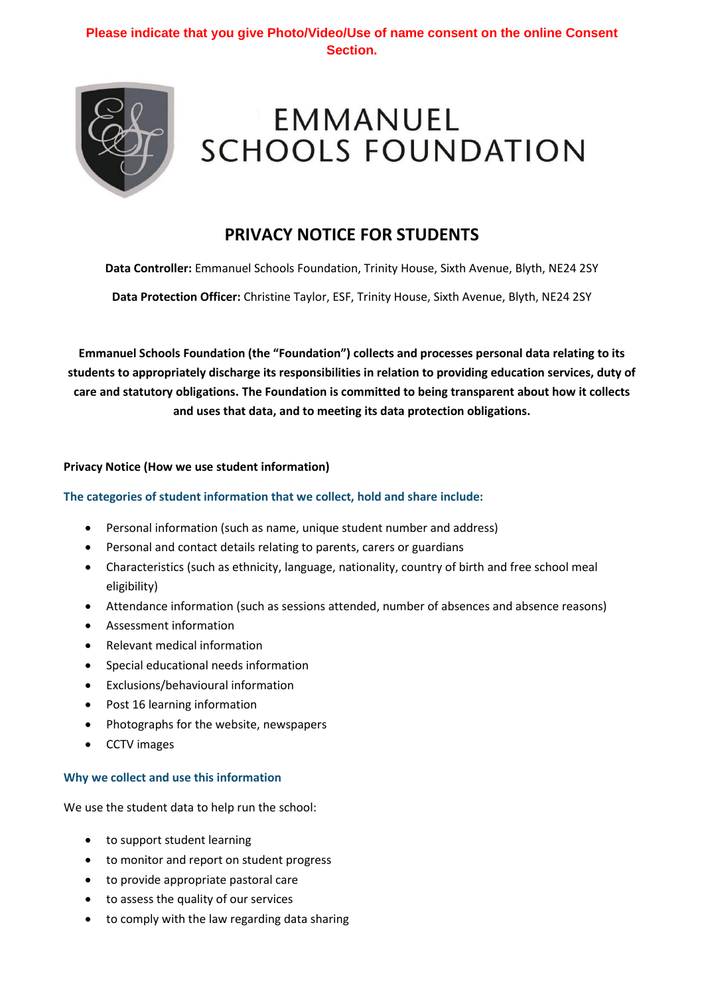# **Please indicate that you give Photo/Video/Use of name consent on the online Consent Section.**



# **EMMANUEL SCHOOLS FOUNDATION**

# **PRIVACY NOTICE FOR STUDENTS**

**Data Controller:** Emmanuel Schools Foundation, Trinity House, Sixth Avenue, Blyth, NE24 2SY

**Data Protection Officer:** Christine Taylor, ESF, Trinity House, Sixth Avenue, Blyth, NE24 2SY

**Emmanuel Schools Foundation (the "Foundation") collects and processes personal data relating to its students to appropriately discharge its responsibilities in relation to providing education services, duty of care and statutory obligations. The Foundation is committed to being transparent about how it collects and uses that data, and to meeting its data protection obligations.**

#### **Privacy Notice (How we use student information)**

#### **The categories of student information that we collect, hold and share include:**

- Personal information (such as name, unique student number and address)
- Personal and contact details relating to parents, carers or guardians
- Characteristics (such as ethnicity, language, nationality, country of birth and free school meal eligibility)
- Attendance information (such as sessions attended, number of absences and absence reasons)
- Assessment information
- Relevant medical information
- Special educational needs information
- Exclusions/behavioural information
- Post 16 learning information
- Photographs for the website, newspapers
- CCTV images

#### **Why we collect and use this information**

We use the student data to help run the school:

- to support student learning
- to monitor and report on student progress
- to provide appropriate pastoral care
- to assess the quality of our services
- to comply with the law regarding data sharing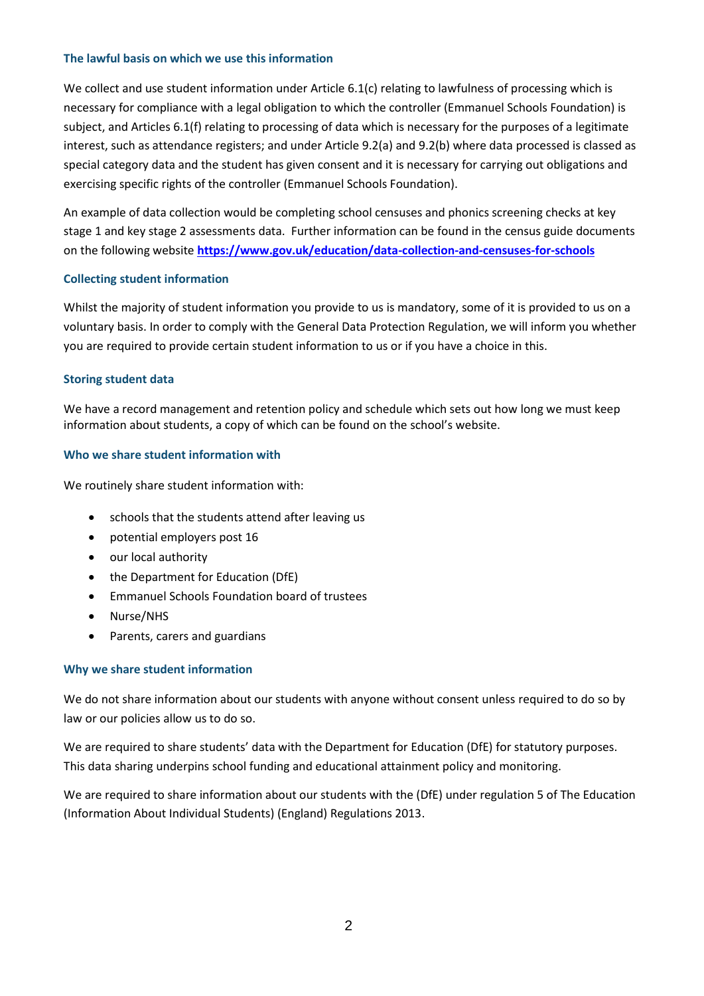#### **The lawful basis on which we use this information**

We collect and use student information under Article 6.1(c) relating to lawfulness of processing which is necessary for compliance with a legal obligation to which the controller (Emmanuel Schools Foundation) is subject, and Articles 6.1(f) relating to processing of data which is necessary for the purposes of a legitimate interest, such as attendance registers; and under Article 9.2(a) and 9.2(b) where data processed is classed as special category data and the student has given consent and it is necessary for carrying out obligations and exercising specific rights of the controller (Emmanuel Schools Foundation).

An example of data collection would be completing school censuses and phonics screening checks at key stage 1 and key stage 2 assessments data. Further information can be found in the census guide documents on the following website **<https://www.gov.uk/education/data-collection-and-censuses-for-schools>**

#### **Collecting student information**

Whilst the majority of student information you provide to us is mandatory, some of it is provided to us on a voluntary basis. In order to comply with the General Data Protection Regulation, we will inform you whether you are required to provide certain student information to us or if you have a choice in this.

#### **Storing student data**

We have a record management and retention policy and schedule which sets out how long we must keep information about students, a copy of which can be found on the school's website.

#### **Who we share student information with**

We routinely share student information with:

- schools that the students attend after leaving us
- potential employers post 16
- our local authority
- the Department for Education (DfE)
- Emmanuel Schools Foundation board of trustees
- Nurse/NHS
- Parents, carers and guardians

# **Why we share student information**

We do not share information about our students with anyone without consent unless required to do so by law or our policies allow us to do so.

We are required to share students' data with the Department for Education (DfE) for statutory purposes. This data sharing underpins school funding and educational attainment policy and monitoring.

We are required to share information about our students with the (DfE) under regulation 5 of The Education (Information About Individual Students) (England) Regulations 2013.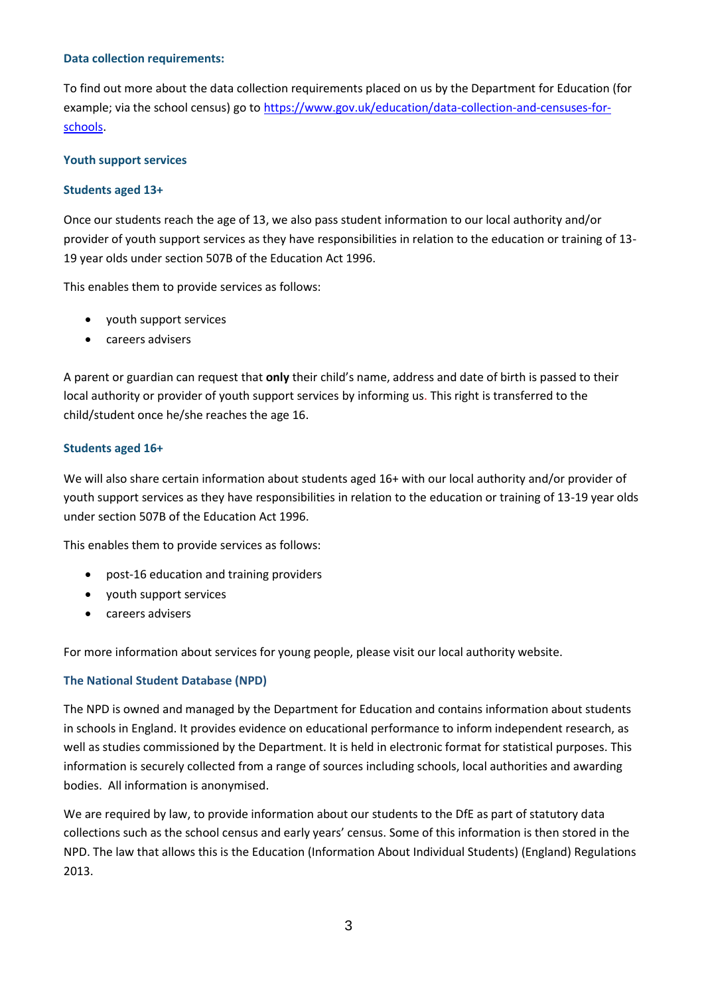#### **Data collection requirements:**

To find out more about the data collection requirements placed on us by the Department for Education (for example; via the school census) go to [https://www.gov.uk/education/data-collection-and-censuses-for](https://www.gov.uk/education/data-collection-and-censuses-for-schools)[schools.](https://www.gov.uk/education/data-collection-and-censuses-for-schools)

# **Youth support services**

# **Students aged 13+**

Once our students reach the age of 13, we also pass student information to our local authority and/or provider of youth support services as they have responsibilities in relation to the education or training of 13- 19 year olds under section 507B of the Education Act 1996.

This enables them to provide services as follows:

- youth support services
- careers advisers

A parent or guardian can request that **only** their child's name, address and date of birth is passed to their local authority or provider of youth support services by informing us. This right is transferred to the child/student once he/she reaches the age 16.

# **Students aged 16+**

We will also share certain information about students aged 16+ with our local authority and/or provider of youth support services as they have responsibilities in relation to the education or training of 13-19 year olds under section 507B of the Education Act 1996.

This enables them to provide services as follows:

- post-16 education and training providers
- youth support services
- careers advisers

For more information about services for young people, please visit our local authority website.

# **The National Student Database (NPD)**

The NPD is owned and managed by the Department for Education and contains information about students in schools in England. It provides evidence on educational performance to inform independent research, as well as studies commissioned by the Department. It is held in electronic format for statistical purposes. This information is securely collected from a range of sources including schools, local authorities and awarding bodies. All information is anonymised.

We are required by law, to provide information about our students to the DfE as part of statutory data collections such as the school census and early years' census. Some of this information is then stored in the NPD. The law that allows this is the Education (Information About Individual Students) (England) Regulations 2013.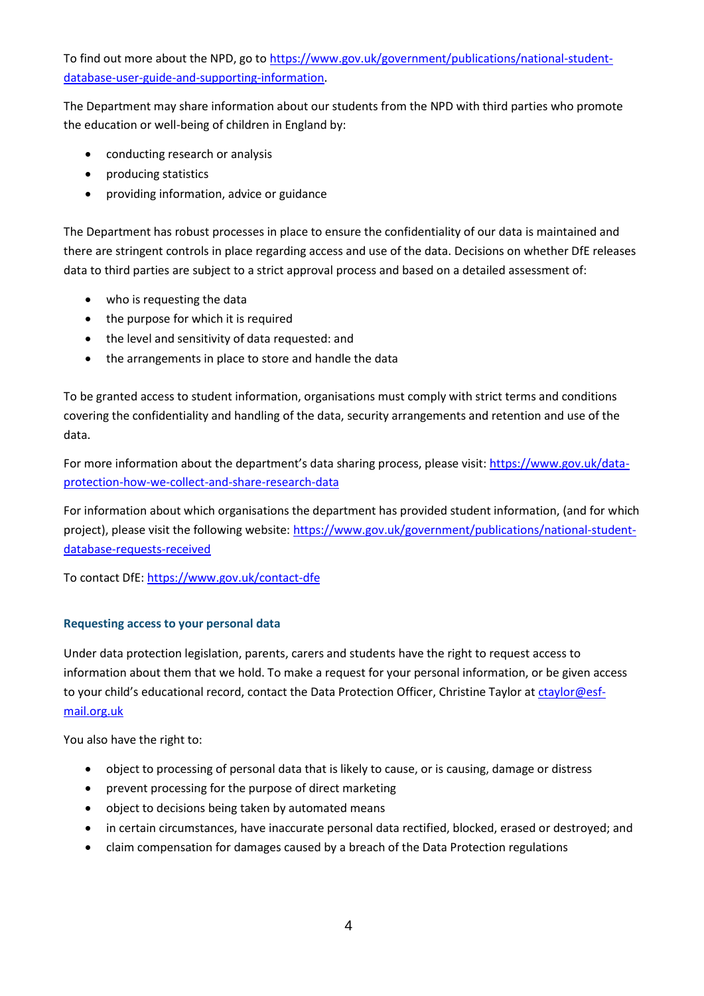To find out more about the NPD, go to [https://www.gov.uk/government/publications/national-student](https://www.gov.uk/government/publications/national-pupil-database-user-guide-and-supporting-information)[database-user-guide-and-supporting-information.](https://www.gov.uk/government/publications/national-pupil-database-user-guide-and-supporting-information)

The Department may share information about our students from the NPD with third parties who promote the education or well-being of children in England by:

- conducting research or analysis
- producing statistics
- providing information, advice or guidance

The Department has robust processes in place to ensure the confidentiality of our data is maintained and there are stringent controls in place regarding access and use of the data. Decisions on whether DfE releases data to third parties are subject to a strict approval process and based on a detailed assessment of:

- who is requesting the data
- the purpose for which it is required
- the level and sensitivity of data requested: and
- the arrangements in place to store and handle the data

To be granted access to student information, organisations must comply with strict terms and conditions covering the confidentiality and handling of the data, security arrangements and retention and use of the data.

For more information about the department's data sharing process, please visit: [https://www.gov.uk/data](https://www.gov.uk/data-protection-how-we-collect-and-share-research-data)[protection-how-we-collect-and-share-research-data](https://www.gov.uk/data-protection-how-we-collect-and-share-research-data)

For information about which organisations the department has provided student information, (and for which project), please visit the following website: [https://www.gov.uk/government/publications/national-student](https://www.gov.uk/government/publications/national-pupil-database-requests-received)[database-requests-received](https://www.gov.uk/government/publications/national-pupil-database-requests-received)

To contact DfE[: https://www.gov.uk/contact-dfe](https://www.gov.uk/contact-dfe)

# **Requesting access to your personal data**

Under data protection legislation, parents, carers and students have the right to request access to information about them that we hold. To make a request for your personal information, or be given access to your child's educational record, contact the Data Protection Officer, Christine Taylor at [ctaylor@esf](mailto:ctaylor@esf-mail.org.uk)[mail.org.uk](mailto:ctaylor@esf-mail.org.uk)

You also have the right to:

- object to processing of personal data that is likely to cause, or is causing, damage or distress
- prevent processing for the purpose of direct marketing
- object to decisions being taken by automated means
- in certain circumstances, have inaccurate personal data rectified, blocked, erased or destroyed; and
- claim compensation for damages caused by a breach of the Data Protection regulations